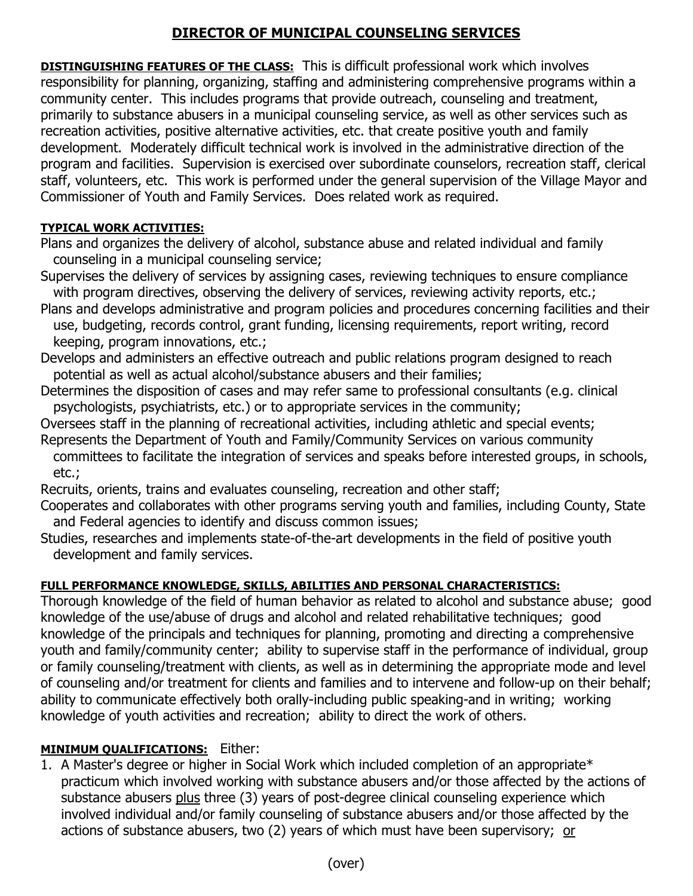# **DIRECTOR OF MUNICIPAL COUNSELING SERVICES**

**DISTINGUISHING FEATURES OF THE CLASS:** This is difficult professional work which involves responsibility for planning, organizing, staffing and administering comprehensive programs within a community center. This includes programs that provide outreach, counseling and treatment, primarily to substance abusers in a municipal counseling service, as well as other services such as recreation activities, positive alternative activities, etc. that create positive youth and family development. Moderately difficult technical work is involved in the administrative direction of the program and facilities. Supervision is exercised over subordinate counselors, recreation staff, clerical staff, volunteers, etc. This work is performed under the general supervision of the Village Mayor and Commissioner of Youth and Family Services. Does related work as required.

### **TYPICAL WORK ACTIVITIES:**

Plans and organizes the delivery of alcohol, substance abuse and related individual and family counseling in a municipal counseling service;

- Supervises the delivery of services by assigning cases, reviewing techniques to ensure compliance with program directives, observing the delivery of services, reviewing activity reports, etc.;
- Plans and develops administrative and program policies and procedures concerning facilities and their use, budgeting, records control, grant funding, licensing requirements, report writing, record keeping, program innovations, etc.;
- Develops and administers an effective outreach and public relations program designed to reach potential as well as actual alcohol/substance abusers and their families;
- Determines the disposition of cases and may refer same to professional consultants (e.g. clinical psychologists, psychiatrists, etc.) or to appropriate services in the community;
- Oversees staff in the planning of recreational activities, including athletic and special events;
- Represents the Department of Youth and Family/Community Services on various community committees to facilitate the integration of services and speaks before interested groups, in schools, etc.;

Recruits, orients, trains and evaluates counseling, recreation and other staff;

- Cooperates and collaborates with other programs serving youth and families, including County, State and Federal agencies to identify and discuss common issues;
- Studies, researches and implements state-of-the-art developments in the field of positive youth development and family services.

# **FULL PERFORMANCE KNOWLEDGE, SKILLS, ABILITIES AND PERSONAL CHARACTERISTICS:**

Thorough knowledge of the field of human behavior as related to alcohol and substance abuse; good knowledge of the use/abuse of drugs and alcohol and related rehabilitative techniques; good knowledge of the principals and techniques for planning, promoting and directing a comprehensive youth and family/community center; ability to supervise staff in the performance of individual, group or family counseling/treatment with clients, as well as in determining the appropriate mode and level of counseling and/or treatment for clients and families and to intervene and follow-up on their behalf; ability to communicate effectively both orally-including public speaking-and in writing; working knowledge of youth activities and recreation; ability to direct the work of others.

# **MINIMUM QUALIFICATIONS:** Either:

1. A Master's degree or higher in Social Work which included completion of an appropriate\* practicum which involved working with substance abusers and/or those affected by the actions of substance abusers plus three (3) years of post-degree clinical counseling experience which involved individual and/or family counseling of substance abusers and/or those affected by the actions of substance abusers, two (2) years of which must have been supervisory; or